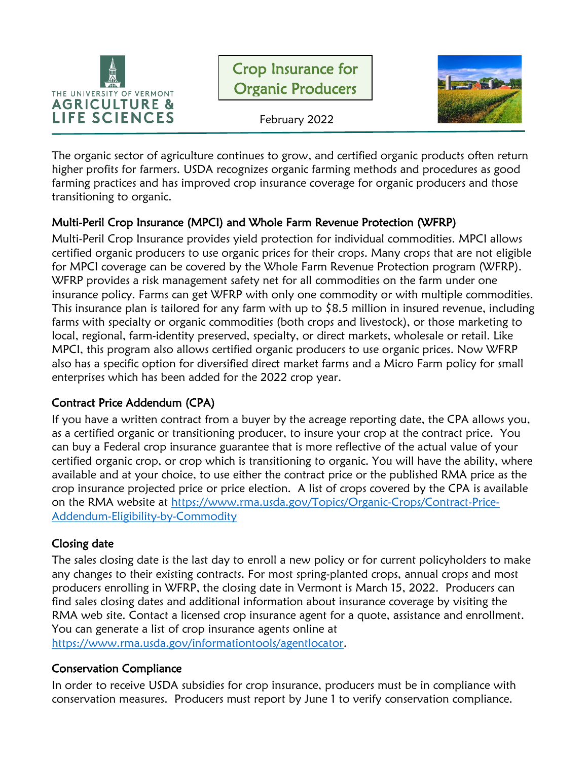



February 2022

The organic sector of agriculture continues to grow, and certified organic products often return higher profits for farmers. USDA recognizes organic farming methods and procedures as good farming practices and has improved crop insurance coverage for organic producers and those transitioning to organic.

# Multi-Peril Crop Insurance (MPCI) and Whole Farm Revenue Protection (WFRP)

Multi-Peril Crop Insurance provides yield protection for individual commodities. MPCI allows certified organic producers to use organic prices for their crops. Many crops that are not eligible for MPCI coverage can be covered by the Whole Farm Revenue Protection program (WFRP). WFRP provides a risk management safety net for all commodities on the farm under one insurance policy. Farms can get WFRP with only one commodity or with multiple commodities. This insurance plan is tailored for any farm with up to  $$8.5$  million in insured revenue, including farms with specialty or organic commodities (both crops and livestock), or those marketing to local, regional, farm-identity preserved, specialty, or direct markets, wholesale or retail. Like MPCI, this program also allows certified organic producers to use organic prices. Now WFRP also has a specific option for diversified direct market farms and a Micro Farm policy for small enterprises which has been added for the 2022 crop year.

# Contract Price Addendum (CPA)

If you have a written contract from a buyer by the acreage reporting date, the CPA allows you, as a certified organic or transitioning producer, to insure your crop at the contract price. You can buy a Federal crop insurance guarantee that is more reflective of the actual value of your certified organic crop, or crop which is transitioning to organic. You will have the ability, where available and at your choice, to use either the contract price or the published RMA price as the crop insurance projected price or price election. A list of crops covered by the CPA is available on the RMA website at [https://www.rma.usda.gov/Topics/Organic-Crops/Contract-Price-](https://www.rma.usda.gov/Topics/Organic-Crops/Contract-Price-Addendum-Eligibility-by-Commodity)[Addendum-Eligibility-by-Commodity](https://www.rma.usda.gov/Topics/Organic-Crops/Contract-Price-Addendum-Eligibility-by-Commodity)

# Closing date

The sales closing date is the last day to enroll a new policy or for current policyholders to make any changes to their existing contracts. For most spring-planted crops, annual crops and most producers enrolling in WFRP, the closing date in Vermont is March 15, 2022. Producers can find sales closing dates and additional information about insurance coverage by visiting the RMA web site. Contact a licensed crop insurance agent for a quote, assistance and enrollment. You can generate a list of crop insurance agents online at [https://www.rma.usda.gov/informationtools/agentlocator.](https://www.rma.usda.gov/informationtools/agentlocator)

Conservation Compliance

In order to receive USDA subsidies for crop insurance, producers must be in compliance with conservation measures. Producers must report by June 1 to verify conservation compliance.